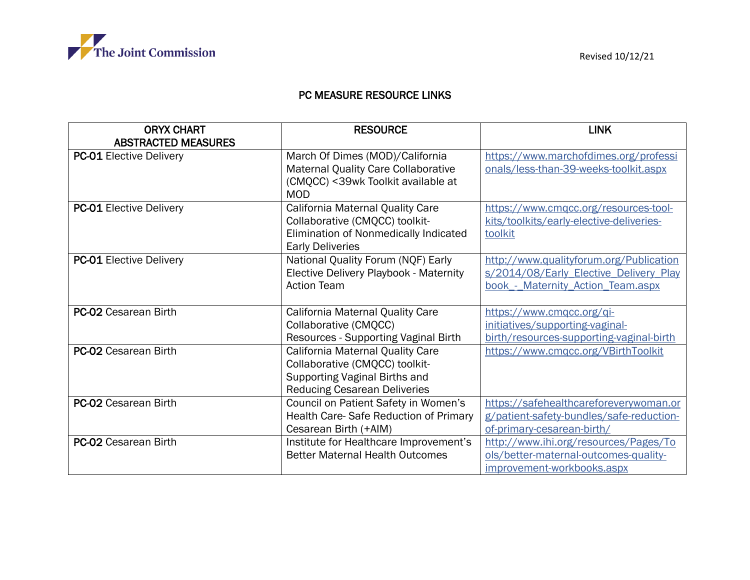

## PC MEASURE RESOURCE LINKS

| <b>ORYX CHART</b><br><b>ABSTRACTED MEASURES</b> | <b>RESOURCE</b>                                                                                                                            | <b>LINK</b>                                                                                                            |
|-------------------------------------------------|--------------------------------------------------------------------------------------------------------------------------------------------|------------------------------------------------------------------------------------------------------------------------|
| <b>PC-01 Elective Delivery</b>                  | March Of Dimes (MOD)/California<br>Maternal Quality Care Collaborative<br>(CMQCC) < 39wk Toolkit available at<br><b>MOD</b>                | https://www.marchofdimes.org/professi<br>onals/less-than-39-weeks-toolkit.aspx                                         |
| <b>PC-01 Elective Delivery</b>                  | California Maternal Quality Care<br>Collaborative (CMQCC) toolkit-<br>Elimination of Nonmedically Indicated<br><b>Early Deliveries</b>     | https://www.cmqcc.org/resources-tool-<br>kits/toolkits/early-elective-deliveries-<br>toolkit                           |
| <b>PC-01 Elective Delivery</b>                  | National Quality Forum (NQF) Early<br><b>Elective Delivery Playbook - Maternity</b><br><b>Action Team</b>                                  | http://www.qualityforum.org/Publication<br>s/2014/08/Early Elective Delivery Play<br>book - Maternity Action Team.aspx |
| <b>PC-02 Cesarean Birth</b>                     | California Maternal Quality Care<br>Collaborative (CMQCC)<br>Resources - Supporting Vaginal Birth                                          | https://www.cmgcc.org/gi-<br>initiatives/supporting-vaginal-<br>birth/resources-supporting-vaginal-birth               |
| PC-02 Cesarean Birth                            | California Maternal Quality Care<br>Collaborative (CMQCC) toolkit-<br>Supporting Vaginal Births and<br><b>Reducing Cesarean Deliveries</b> | https://www.cmgcc.org/VBirthToolkit                                                                                    |
| PC-02 Cesarean Birth                            | Council on Patient Safety in Women's<br>Health Care-Safe Reduction of Primary<br>Cesarean Birth (+AIM)                                     | https://safehealthcareforeverywoman.or<br>g/patient-safety-bundles/safe-reduction-<br>of-primary-cesarean-birth/       |
| <b>PC-02 Cesarean Birth</b>                     | Institute for Healthcare Improvement's<br><b>Better Maternal Health Outcomes</b>                                                           | http://www.ihi.org/resources/Pages/To<br>ols/better-maternal-outcomes-quality-<br>improvement-workbooks.aspx           |